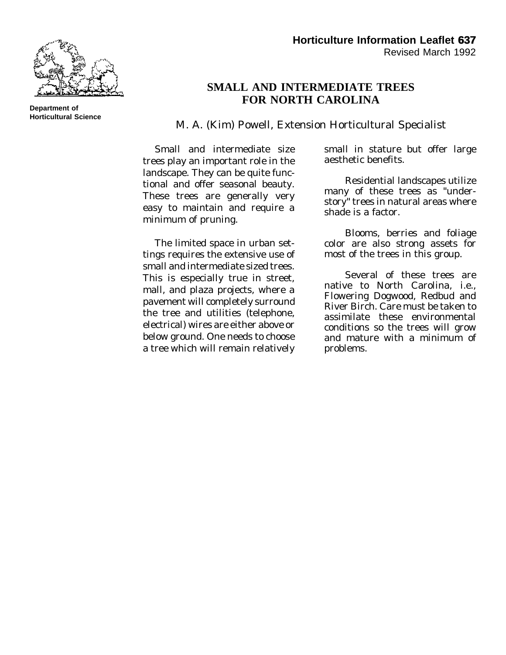

## **SMALL AND INTERMEDIATE TREES FOR NORTH CAROLINA**

M. A. (Kim) Powell, Extension Horticultural Specialist

Small and intermediate size trees play an important role in the landscape. They can be quite functional and offer seasonal beauty. These trees are generally very easy to maintain and require a minimum of pruning.

The limited space in urban settings requires the extensive use of small and intermediate sized trees. This is especially true in street, mall, and plaza projects, where a pavement will completely surround the tree and utilities (telephone, electrical) wires are either above or below ground. One needs to choose a tree which will remain relatively small in stature but offer large aesthetic benefits.

Residential landscapes utilize many of these trees as "understory" trees in natural areas where shade is a factor.

Blooms, berries and foliage color are also strong assets for most of the trees in this group.

Several of these trees are native to North Carolina, i.e., Flowering Dogwood, Redbud and River Birch. Care must be taken to assimilate these environmental conditions so the trees will grow and mature with a minimum of problems.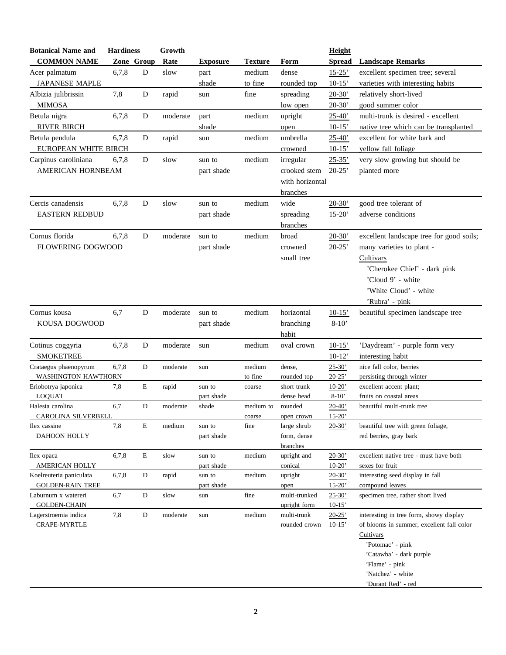| <b>Botanical Name and</b>            | <b>Hardiness</b> |             | Growth   |                 |                |                              | Height                 |                                                                                      |
|--------------------------------------|------------------|-------------|----------|-----------------|----------------|------------------------------|------------------------|--------------------------------------------------------------------------------------|
| <b>COMMON NAME</b>                   | Zone Group       |             | Rate     | <b>Exposure</b> | <b>Texture</b> | Form                         | <b>Spread</b>          | <b>Landscape Remarks</b>                                                             |
| Acer palmatum                        | 6,7,8            | D           | slow     | part            | medium         | dense                        | $15 - 25'$             | excellent specimen tree; several                                                     |
| <b>JAPANESE MAPLE</b>                |                  |             |          | shade           | to fine        | rounded top                  | $10-15'$               | varieties with interesting habits                                                    |
| Albizia julibrissin                  | 7,8              | D           | rapid    | sun             | fine           | spreading                    | $20-30'$               | relatively short-lived                                                               |
| <b>MIMOSA</b>                        |                  |             |          |                 |                | low open                     | $20-30'$               | good summer color                                                                    |
| Betula nigra                         | 6,7,8            | D           | moderate | part            | medium         | upright                      | $25 - 40'$             | multi-trunk is desired - excellent                                                   |
| <b>RIVER BIRCH</b>                   |                  |             |          | shade           |                | open                         | $10-15'$               | native tree which can be transplanted                                                |
| Betula pendula                       | 6,7,8            | D           | rapid    | sun             | medium         | umbrella                     | $25 - 40'$             | excellent for white bark and                                                         |
| EUROPEAN WHITE BIRCH                 |                  |             |          |                 |                | crowned                      | $10-15'$               | yellow fall foliage                                                                  |
| Carpinus caroliniana                 | 6,7,8            | D           | slow     | sun to          | medium         | irregular                    | $25 - 35'$             | very slow growing but should be                                                      |
| AMERICAN HORNBEAM                    |                  |             |          | part shade      |                | crooked stem                 | $20-25'$               | planted more                                                                         |
|                                      |                  |             |          |                 |                | with horizontal              |                        |                                                                                      |
|                                      |                  |             |          |                 |                | branches                     |                        |                                                                                      |
| Cercis canadensis                    | 6,7,8            | D           | slow     | sun to          | medium         | wide                         | $20-30'$               | good tree tolerant of                                                                |
| <b>EASTERN REDBUD</b>                |                  |             |          | part shade      |                | spreading                    | $15-20'$               | adverse conditions                                                                   |
|                                      |                  |             |          |                 |                | branches                     |                        |                                                                                      |
| Cornus florida                       | 6,7,8            | D           | moderate | sun to          | medium         | broad                        | $20-30'$               | excellent landscape tree for good soils;                                             |
| <b>FLOWERING DOGWOOD</b>             |                  |             |          | part shade      |                | crowned                      | $20-25'$               | many varieties to plant -                                                            |
|                                      |                  |             |          |                 |                | small tree                   |                        | Cultivars                                                                            |
|                                      |                  |             |          |                 |                |                              |                        | 'Cherokee Chief' - dark pink                                                         |
|                                      |                  |             |          |                 |                |                              |                        | 'Cloud 9' - white                                                                    |
|                                      |                  |             |          |                 |                |                              |                        | 'White Cloud' - white                                                                |
|                                      |                  |             |          |                 |                |                              |                        | 'Rubra' - pink                                                                       |
| Cornus kousa                         | 6,7              | D           | moderate | sun to          | medium         | horizontal                   | $10-15'$               | beautiful specimen landscape tree                                                    |
| KOUSA DOGWOOD                        |                  |             |          | part shade      |                | branching                    | $8-10'$                |                                                                                      |
|                                      |                  |             |          |                 |                | habit                        |                        |                                                                                      |
| Cotinus coggyria                     | 6,7,8            | D           | moderate | sun             | medium         | oval crown                   | $10-15'$               | 'Daydream' - purple form very                                                        |
| <b>SMOKETREE</b>                     |                  |             |          |                 |                |                              | $10-12'$               | interesting habit                                                                    |
| Crataegus phaenopyrum                | 6,7,8            | D           | moderate | sun             | medium         | dense,                       | $25 - 30'$             | nice fall color, berries                                                             |
| WASHINGTON HAWTHORN                  |                  |             |          |                 | to fine        | rounded top                  | $20 - 25'$             | persisting through winter                                                            |
| Eriobotrya japonica                  | 7,8              | E           | rapid    | sun to          | coarse         | short trunk                  | $10-20'$               | excellent accent plant;                                                              |
| <b>LOQUAT</b>                        |                  |             |          | part shade      |                | dense head                   | $8 - 10'$              | fruits on coastal areas                                                              |
| Halesia carolina                     | 6,7              | D           | moderate | shade           | medium to      | rounded                      | $20 - 40'$             | beautiful multi-trunk tree                                                           |
| CAROLINA SILVERBELL<br>Ilex cassine  | 7,8              | E           | medium   | sun to          | coarse<br>fine | open crown<br>large shrub    | $15 - 20'$<br>$20-30'$ | beautiful tree with green foliage,                                                   |
| DAHOON HOLLY                         |                  |             |          | part shade      |                | form, dense                  |                        | red berries, gray bark                                                               |
|                                      |                  |             |          |                 |                | branches                     |                        |                                                                                      |
| Ilex opaca                           | 6,7,8            | E           | slow     | sun to          | medium         | upright and                  | $20 - 30'$             | excellent native tree - must have both                                               |
| AMERICAN HOLLY                       |                  |             |          | part shade      |                | conical                      | $10-20'$               | sexes for fruit                                                                      |
| Koelreuteria paniculata              | 6,7,8            | D           | rapid    | sun to          | medium         | upright                      | $20-30'$               | interesting seed display in fall                                                     |
| <b>GOLDEN-RAIN TREE</b>              |                  |             |          | part shade      |                | open                         | $15 - 20'$             | compound leaves                                                                      |
| Laburnum x watereri                  | 6,7              | D           | slow     | sun             | fine           | multi-trunked                | $25 - 30'$             | specimen tree, rather short lived                                                    |
| <b>GOLDEN-CHAIN</b>                  |                  |             |          |                 |                | upright form                 | $10-15'$               |                                                                                      |
| Lagerstroemia indica<br>CRAPE-MYRTLE | 7,8              | $\mathbf D$ | moderate | sun             | medium         | multi-trunk<br>rounded crown | $20 - 25'$<br>$10-15'$ | interesting in tree form, showy display<br>of blooms in summer, excellent fall color |
|                                      |                  |             |          |                 |                |                              |                        | Cultivars                                                                            |
|                                      |                  |             |          |                 |                |                              |                        | 'Potomac' - pink                                                                     |
|                                      |                  |             |          |                 |                |                              |                        | 'Catawba' - dark purple                                                              |
|                                      |                  |             |          |                 |                |                              |                        | 'Flame' - pink                                                                       |
|                                      |                  |             |          |                 |                |                              |                        | 'Natchez' - white                                                                    |
|                                      |                  |             |          |                 |                |                              |                        | 'Durant Red' - red                                                                   |
|                                      |                  |             |          |                 |                |                              |                        |                                                                                      |